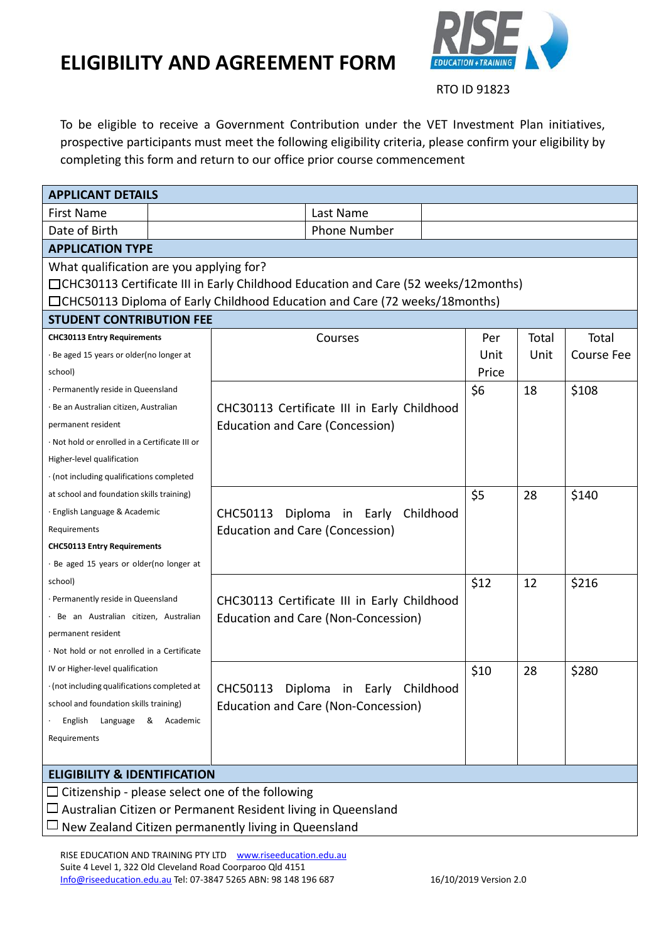

RTO ID 91823

To be eligible to receive a Government Contribution under the VET Investment Plan initiatives, prospective participants must meet the following eligibility criteria, please confirm your eligibility by completing this form and return to our office prior course commencement

| <b>APPLICANT DETAILS</b>                                                             |  |                                              |       |       |                   |  |  |
|--------------------------------------------------------------------------------------|--|----------------------------------------------|-------|-------|-------------------|--|--|
| <b>First Name</b>                                                                    |  | Last Name                                    |       |       |                   |  |  |
| Date of Birth                                                                        |  | <b>Phone Number</b>                          |       |       |                   |  |  |
| <b>APPLICATION TYPE</b>                                                              |  |                                              |       |       |                   |  |  |
| What qualification are you applying for?                                             |  |                                              |       |       |                   |  |  |
| □ CHC30113 Certificate III in Early Childhood Education and Care (52 weeks/12months) |  |                                              |       |       |                   |  |  |
| □CHC50113 Diploma of Early Childhood Education and Care (72 weeks/18months)          |  |                                              |       |       |                   |  |  |
| <b>STUDENT CONTRIBUTION FEE</b>                                                      |  |                                              |       |       |                   |  |  |
| <b>CHC30113 Entry Requirements</b>                                                   |  | Courses                                      | Per   | Total | Total             |  |  |
| Be aged 15 years or older(no longer at                                               |  |                                              | Unit  | Unit  | <b>Course Fee</b> |  |  |
| school)                                                                              |  |                                              | Price |       |                   |  |  |
| · Permanently reside in Queensland                                                   |  |                                              | \$6   | 18    | \$108             |  |  |
| · Be an Australian citizen, Australian                                               |  | CHC30113 Certificate III in Early Childhood  |       |       |                   |  |  |
| permanent resident                                                                   |  | <b>Education and Care (Concession)</b>       |       |       |                   |  |  |
| · Not hold or enrolled in a Certificate III or                                       |  |                                              |       |       |                   |  |  |
| Higher-level qualification                                                           |  |                                              |       |       |                   |  |  |
| · (not including qualifications completed                                            |  |                                              |       |       |                   |  |  |
| at school and foundation skills training)                                            |  |                                              | \$5   | 28    | \$140             |  |  |
| · English Language & Academic                                                        |  | CHC50113<br>Diploma<br>Childhood<br>in Early |       |       |                   |  |  |
| Requirements                                                                         |  | <b>Education and Care (Concession)</b>       |       |       |                   |  |  |
| <b>CHC50113 Entry Requirements</b>                                                   |  |                                              |       |       |                   |  |  |
| · Be aged 15 years or older(no longer at                                             |  |                                              |       |       |                   |  |  |
| school)                                                                              |  |                                              | \$12  | 12    | \$216             |  |  |
| · Permanently reside in Queensland                                                   |  | CHC30113 Certificate III in Early Childhood  |       |       |                   |  |  |
| · Be an Australian citizen, Australian                                               |  | Education and Care (Non-Concession)          |       |       |                   |  |  |
| permanent resident                                                                   |  |                                              |       |       |                   |  |  |
| · Not hold or not enrolled in a Certificate                                          |  |                                              |       |       |                   |  |  |
| IV or Higher-level qualification                                                     |  |                                              | \$10  | 28    | \$280             |  |  |
| $\cdot$ (not including qualifications completed at                                   |  | CHC50113 Diploma in Early Childhood          |       |       |                   |  |  |
| school and foundation skills training)                                               |  | Education and Care (Non-Concession)          |       |       |                   |  |  |
| Language & Academic<br>English                                                       |  |                                              |       |       |                   |  |  |
| Requirements                                                                         |  |                                              |       |       |                   |  |  |
|                                                                                      |  |                                              |       |       |                   |  |  |
| <b>ELIGIBILITY &amp; IDENTIFICATION</b>                                              |  |                                              |       |       |                   |  |  |
| $\Box$ Citizenship - please select one of the following                              |  |                                              |       |       |                   |  |  |
| $\Box$ Australian Citizen or Permanent Resident living in Queensland                 |  |                                              |       |       |                   |  |  |
| $\Box$ New Zealand Citizen permanently living in Queensland                          |  |                                              |       |       |                   |  |  |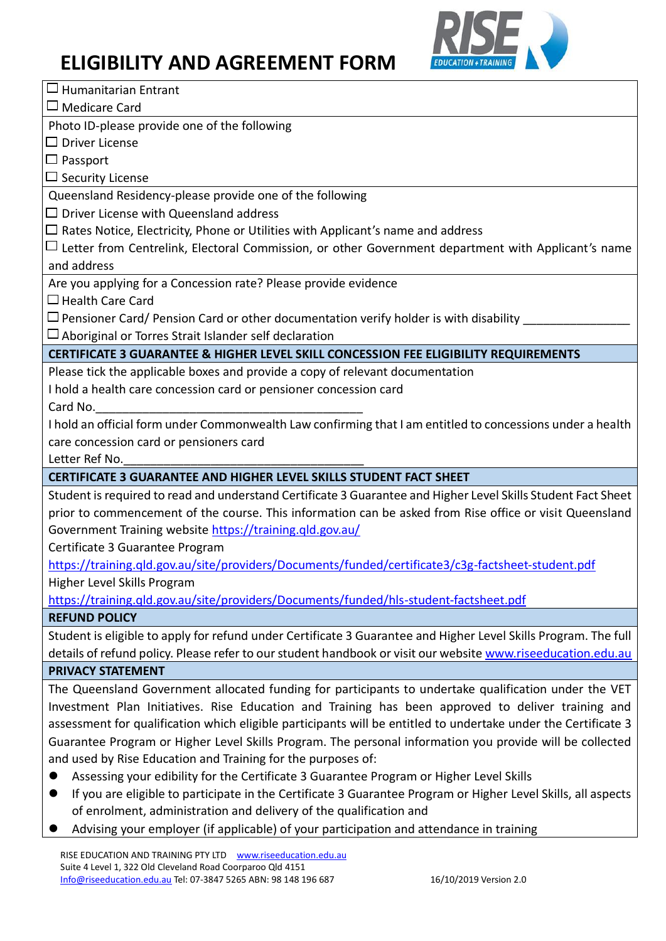

RISE EDUCATION AND TRAINING PTY LTD [www.riseeducation.edu.au](http://www.riseeducation.edu.au/)   $\Box$  Humanitarian Entrant Medicare Card Photo ID-please provide one of the following  $\Box$  Driver License  $\Box$  Passport  $\square$  Security License Queensland Residency-please provide one of the following  $\square$  Driver License with Queensland address  $\Box$  Rates Notice, Electricity, Phone or Utilities with Applicant's name and address Letter from Centrelink, Electoral Commission, or other Government department with Applicant's name and address Are you applying for a Concession rate? Please provide evidence  $\Box$  Health Care Card  $\square$  Pensioner Card/ Pension Card or other documentation verify holder is with disability  $\square$  Aboriginal or Torres Strait Islander self declaration **CERTIFICATE 3 GUARANTEE & HIGHER LEVEL SKILL CONCESSION FEE ELIGIBILITY REQUIREMENTS** Please tick the applicable boxes and provide a copy of relevant documentation I hold a health care concession card or pensioner concession card Card No. I hold an official form under Commonwealth Law confirming that I am entitled to concessions under a health care concession card or pensioners card Letter Ref No. **CERTIFICATE 3 GUARANTEE AND HIGHER LEVEL SKILLS STUDENT FACT SHEET** Student is required to read and understand Certificate 3 Guarantee and Higher Level Skills Student Fact Sheet prior to commencement of the course. This information can be asked from Rise office or visit Queensland Government Training website<https://training.qld.gov.au/> Certificate 3 Guarantee Program <https://training.qld.gov.au/site/providers/Documents/funded/certificate3/c3g-factsheet-student.pdf> Higher Level Skills Program <https://training.qld.gov.au/site/providers/Documents/funded/hls-student-factsheet.pdf> **REFUND POLICY** Student is eligible to apply for refund under Certificate 3 Guarantee and Higher Level Skills Program. The full details of refund policy. Please refer to our student handbook or visit our websit[e www.riseeducation.edu.au](http://www.riseeducation.edu.au/) **PRIVACY STATEMENT** The Queensland Government allocated funding for participants to undertake qualification under the VET Investment Plan Initiatives. Rise Education and Training has been approved to deliver training and assessment for qualification which eligible participants will be entitled to undertake under the Certificate 3 Guarantee Program or Higher Level Skills Program. The personal information you provide will be collected and used by Rise Education and Training for the purposes of: ⚫ Assessing your edibility for the Certificate 3 Guarantee Program or Higher Level Skills ⚫ If you are eligible to participate in the Certificate 3 Guarantee Program or Higher Level Skills, all aspects of enrolment, administration and delivery of the qualification and **EXED Advising your employer (if applicable) of your participation and attendance in training**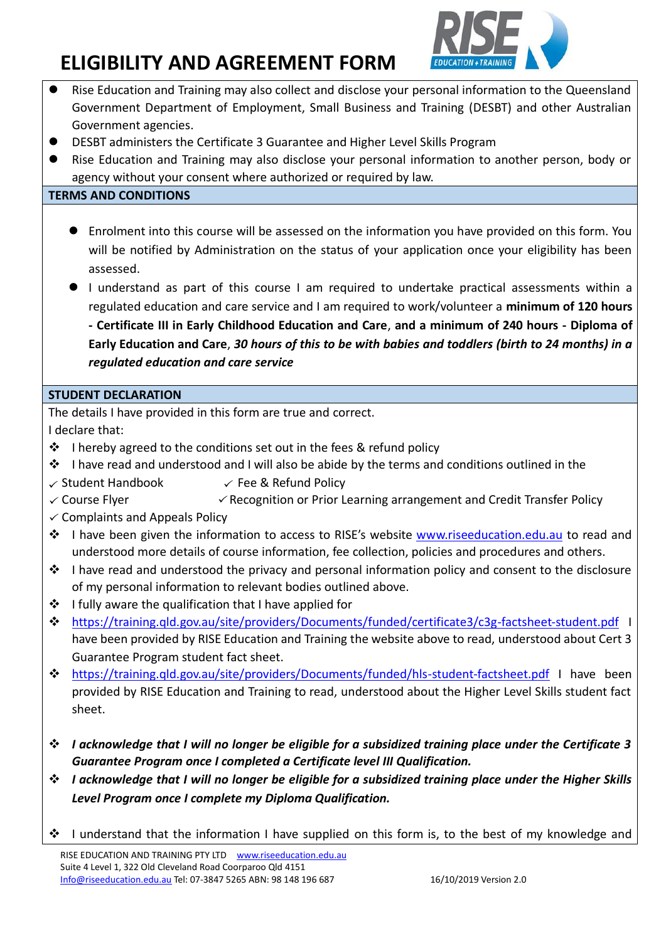

- ⚫ Rise Education and Training may also collect and disclose your personal information to the Queensland Government Department of Employment, Small Business and Training (DESBT) and other Australian Government agencies.
- ⚫ DESBT administers the Certificate 3 Guarantee and Higher Level Skills Program
- ⚫ Rise Education and Training may also disclose your personal information to another person, body or agency without your consent where authorized or required by law.

#### **TERMS AND CONDITIONS**

- Enrolment into this course will be assessed on the information you have provided on this form. You will be notified by Administration on the status of your application once your eligibility has been assessed.
- ⚫ I understand as part of this course I am required to undertake practical assessments within a regulated education and care service and I am required to work/volunteer a **minimum of 120 hours - Certificate III in Early Childhood Education and Care**, **and a minimum of 240 hours - Diploma of Early Education and Care**, *30 hours of this to be with babies and toddlers (birth to 24 months) in a*

#### *regulated education and care service*

#### **STUDENT DECLARATION**

The details I have provided in this form are true and correct.

I declare that:

- ❖ I hereby agreed to the conditions set out in the fees & refund policy
- $\dots$  I have read and understood and I will also be abide by the terms and conditions outlined in the
- $\checkmark$  Student Handbook  $\checkmark$  Fee & Refund Policy
- $\checkmark$  Course Flyer  $\checkmark$  Recognition or Prior Learning arrangement and Credit Transfer Policy
- $\checkmark$  Complaints and Appeals Policy
- ❖ I have been given the information to access to RISE's website [www.riseeducation.edu.au](http://www.riseeducation.edu.au/) to read and understood more details of course information, fee collection, policies and procedures and others.
- $\dots$  I have read and understood the privacy and personal information policy and consent to the disclosure of my personal information to relevant bodies outlined above.
- ❖ I fully aware the qualification that I have applied for
- ❖ <https://training.qld.gov.au/site/providers/Documents/funded/certificate3/c3g-factsheet-student.pdf> I have been provided by RISE Education and Training the website above to read, understood about Cert 3 Guarantee Program student fact sheet.
- ❖ <https://training.qld.gov.au/site/providers/Documents/funded/hls-student-factsheet.pdf> I have been provided by RISE Education and Training to read, understood about the Higher Level Skills student fact sheet.
- ❖ *I acknowledge that I will no longer be eligible for a subsidized training place under the Certificate 3 Guarantee Program once I completed a Certificate level III Qualification.*
- ❖ *I acknowledge that I will no longer be eligible for a subsidized training place under the Higher Skills Level Program once I complete my Diploma Qualification.*
- ❖ I understand that the information I have supplied on this form is, to the best of my knowledge and